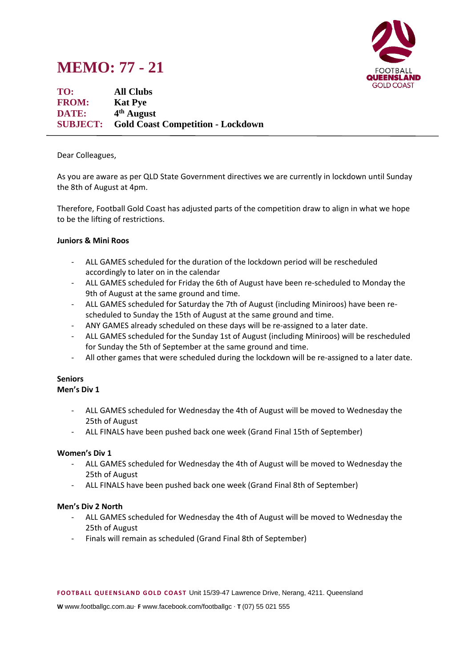# **MEMO: 77 - 21**



**TO: All Clubs FROM: Kat Pye DATE: 4 th August SUBJECT: Gold Coast Competition - Lockdown**

Dear Colleagues,

As you are aware as per QLD State Government directives we are currently in lockdown until Sunday the 8th of August at 4pm.

Therefore, Football Gold Coast has adjusted parts of the competition draw to align in what we hope to be the lifting of restrictions.

## **Juniors & Mini Roos**

- ALL GAMES scheduled for the duration of the lockdown period will be rescheduled accordingly to later on in the calendar
- ALL GAMES scheduled for Friday the 6th of August have been re-scheduled to Monday the 9th of August at the same ground and time.
- ALL GAMES scheduled for Saturday the 7th of August (including Miniroos) have been rescheduled to Sunday the 15th of August at the same ground and time.
- ANY GAMES already scheduled on these days will be re-assigned to a later date.
- ALL GAMES scheduled for the Sunday 1st of August (including Miniroos) will be rescheduled for Sunday the 5th of September at the same ground and time.
- All other games that were scheduled during the lockdown will be re-assigned to a later date.

#### **Seniors Men's Div 1**

- ALL GAMES scheduled for Wednesday the 4th of August will be moved to Wednesday the 25th of August
- ALL FINALS have been pushed back one week (Grand Final 15th of September)

## **Women's Div 1**

- ALL GAMES scheduled for Wednesday the 4th of August will be moved to Wednesday the 25th of August
- ALL FINALS have been pushed back one week (Grand Final 8th of September)

## **Men's Div 2 North**

- ALL GAMES scheduled for Wednesday the 4th of August will be moved to Wednesday the 25th of August
- Finals will remain as scheduled (Grand Final 8th of September)

**W** www.footballgc.com.au. **F** www.facebook.com/footballgc . **T** (07) 55 021 555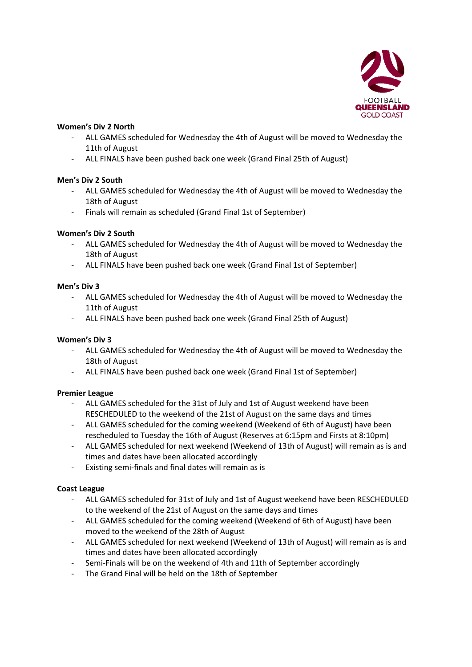

# **Women's Div 2 North**

- ALL GAMES scheduled for Wednesday the 4th of August will be moved to Wednesday the 11th of August
- ALL FINALS have been pushed back one week (Grand Final 25th of August)

# **Men's Div 2 South**

- ALL GAMES scheduled for Wednesday the 4th of August will be moved to Wednesday the 18th of August
- Finals will remain as scheduled (Grand Final 1st of September)

# **Women's Div 2 South**

- ALL GAMES scheduled for Wednesday the 4th of August will be moved to Wednesday the 18th of August
- ALL FINALS have been pushed back one week (Grand Final 1st of September)

# **Men's Div 3**

- ALL GAMES scheduled for Wednesday the 4th of August will be moved to Wednesday the 11th of August
- ALL FINALS have been pushed back one week (Grand Final 25th of August)

# **Women's Div 3**

- ALL GAMES scheduled for Wednesday the 4th of August will be moved to Wednesday the 18th of August
- ALL FINALS have been pushed back one week (Grand Final 1st of September)

## **Premier League**

- ALL GAMES scheduled for the 31st of July and 1st of August weekend have been RESCHEDULED to the weekend of the 21st of August on the same days and times
- ALL GAMES scheduled for the coming weekend (Weekend of 6th of August) have been rescheduled to Tuesday the 16th of August (Reserves at 6:15pm and Firsts at 8:10pm)
- ALL GAMES scheduled for next weekend (Weekend of 13th of August) will remain as is and times and dates have been allocated accordingly
- Existing semi-finals and final dates will remain as is

## **Coast League**

- ALL GAMES scheduled for 31st of July and 1st of August weekend have been RESCHEDULED to the weekend of the 21st of August on the same days and times
- ALL GAMES scheduled for the coming weekend (Weekend of 6th of August) have been moved to the weekend of the 28th of August
- ALL GAMES scheduled for next weekend (Weekend of 13th of August) will remain as is and times and dates have been allocated accordingly
- Semi-Finals will be on the weekend of 4th and 11th of September accordingly
- The Grand Final will be held on the 18th of September